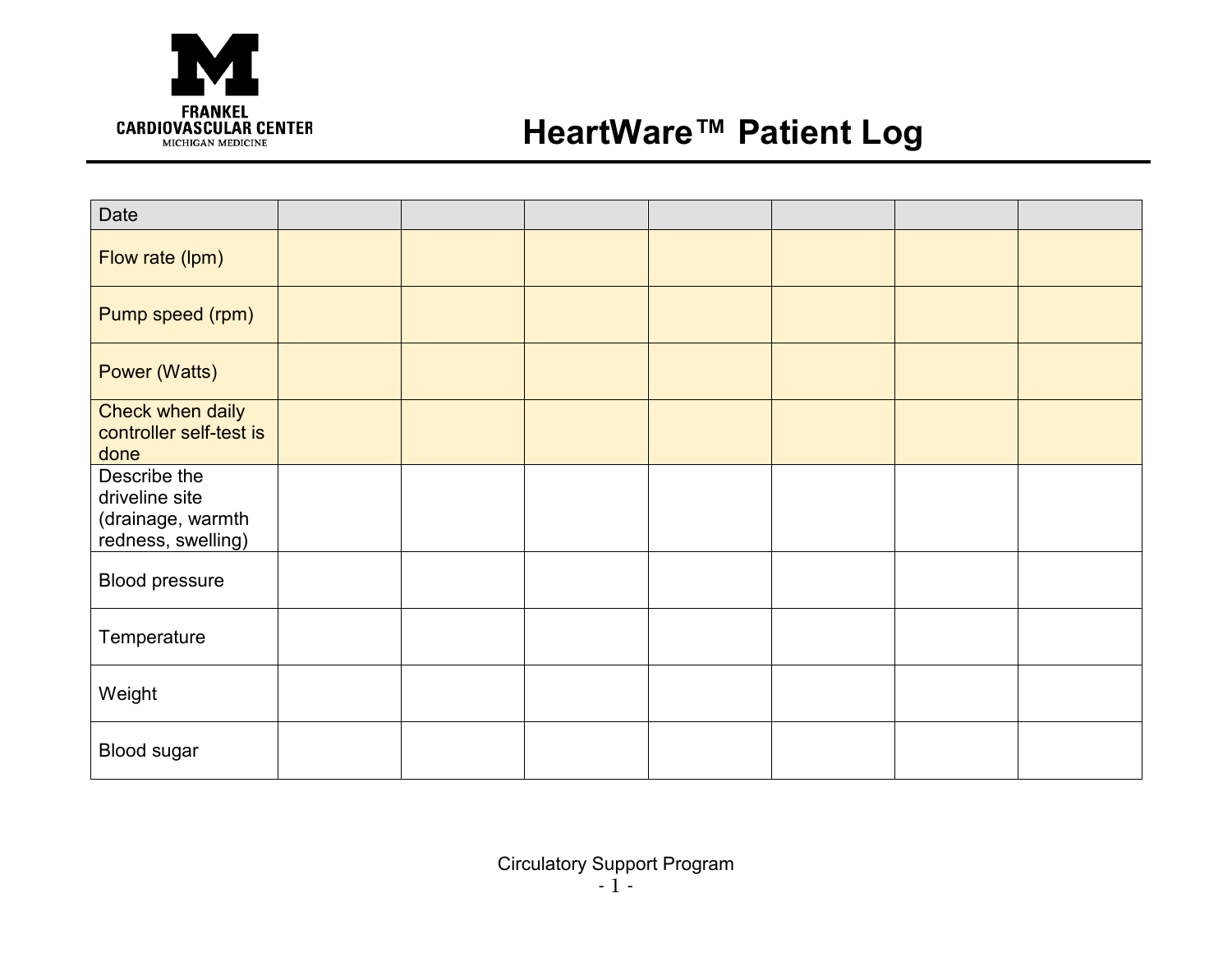

## **HeartWare™ Patient Log**

| Date                                                                      |  |  |  |  |
|---------------------------------------------------------------------------|--|--|--|--|
| Flow rate (lpm)                                                           |  |  |  |  |
| Pump speed (rpm)                                                          |  |  |  |  |
| Power (Watts)                                                             |  |  |  |  |
| Check when daily<br>controller self-test is<br>done                       |  |  |  |  |
| Describe the<br>driveline site<br>(drainage, warmth<br>redness, swelling) |  |  |  |  |
| <b>Blood pressure</b>                                                     |  |  |  |  |
| Temperature                                                               |  |  |  |  |
| Weight                                                                    |  |  |  |  |
| <b>Blood sugar</b>                                                        |  |  |  |  |